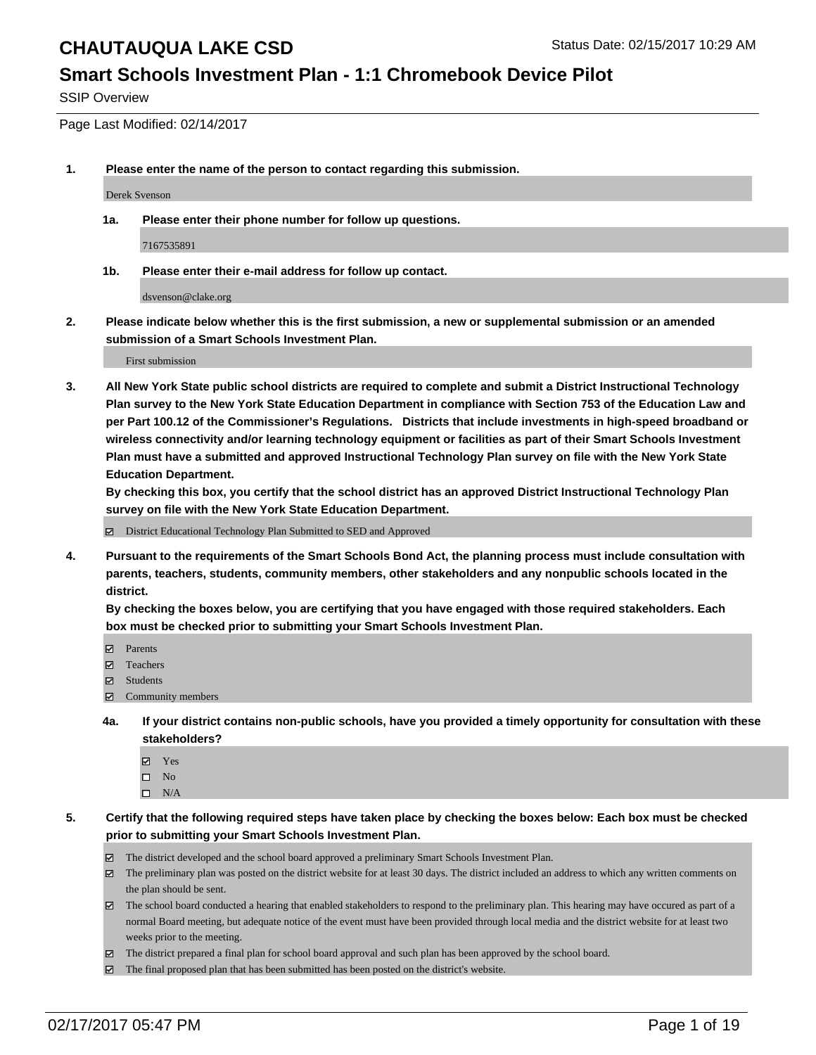### **Smart Schools Investment Plan - 1:1 Chromebook Device Pilot**

SSIP Overview

Page Last Modified: 02/14/2017

**1. Please enter the name of the person to contact regarding this submission.**

Derek Svenson

**1a. Please enter their phone number for follow up questions.**

7167535891

**1b. Please enter their e-mail address for follow up contact.**

dsvenson@clake.org

**2. Please indicate below whether this is the first submission, a new or supplemental submission or an amended submission of a Smart Schools Investment Plan.**

First submission

**3. All New York State public school districts are required to complete and submit a District Instructional Technology Plan survey to the New York State Education Department in compliance with Section 753 of the Education Law and per Part 100.12 of the Commissioner's Regulations. Districts that include investments in high-speed broadband or wireless connectivity and/or learning technology equipment or facilities as part of their Smart Schools Investment Plan must have a submitted and approved Instructional Technology Plan survey on file with the New York State Education Department.** 

**By checking this box, you certify that the school district has an approved District Instructional Technology Plan survey on file with the New York State Education Department.**

District Educational Technology Plan Submitted to SED and Approved

**4. Pursuant to the requirements of the Smart Schools Bond Act, the planning process must include consultation with parents, teachers, students, community members, other stakeholders and any nonpublic schools located in the district.** 

**By checking the boxes below, you are certifying that you have engaged with those required stakeholders. Each box must be checked prior to submitting your Smart Schools Investment Plan.**

- **Parents**
- Teachers
- **冈** Students
- Community members
- **4a. If your district contains non-public schools, have you provided a timely opportunity for consultation with these stakeholders?**
	- Yes
	- $\square$  No
	- $\square$  N/A
- **5. Certify that the following required steps have taken place by checking the boxes below: Each box must be checked prior to submitting your Smart Schools Investment Plan.**
	- The district developed and the school board approved a preliminary Smart Schools Investment Plan.
	- The preliminary plan was posted on the district website for at least 30 days. The district included an address to which any written comments on the plan should be sent.
	- The school board conducted a hearing that enabled stakeholders to respond to the preliminary plan. This hearing may have occured as part of a normal Board meeting, but adequate notice of the event must have been provided through local media and the district website for at least two weeks prior to the meeting.
	- The district prepared a final plan for school board approval and such plan has been approved by the school board.
	- $\boxtimes$  The final proposed plan that has been submitted has been posted on the district's website.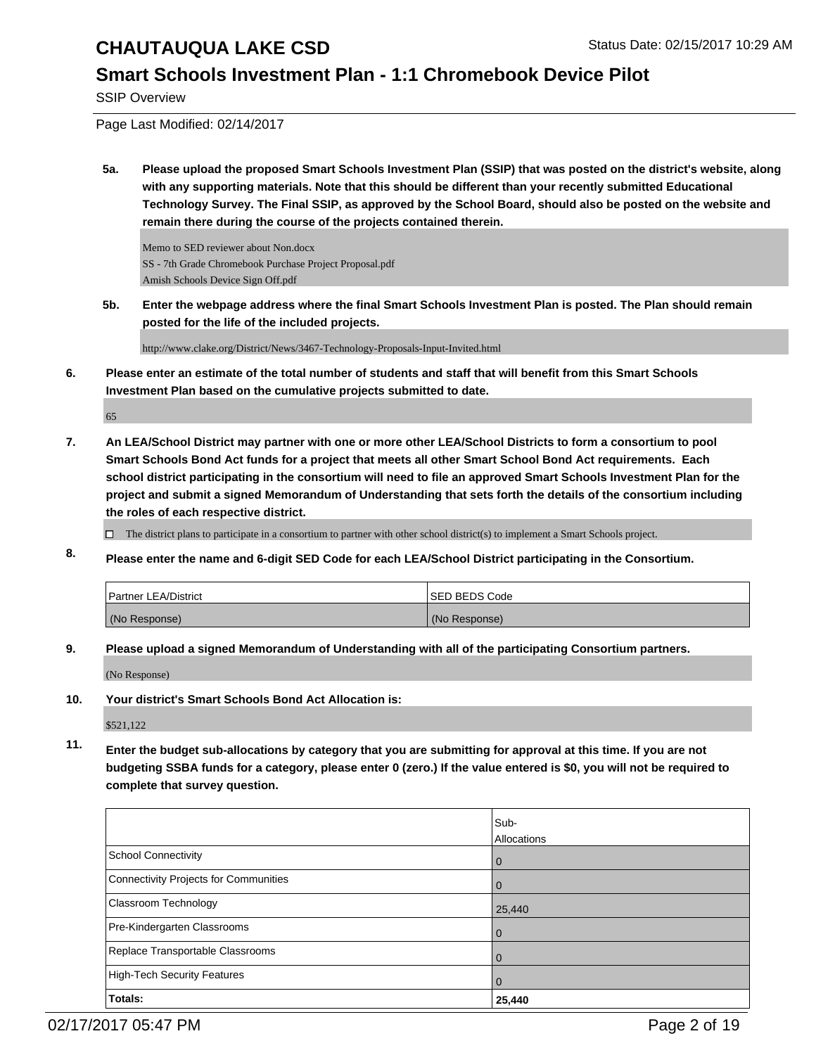### **Smart Schools Investment Plan - 1:1 Chromebook Device Pilot**

SSIP Overview

Page Last Modified: 02/14/2017

**5a. Please upload the proposed Smart Schools Investment Plan (SSIP) that was posted on the district's website, along with any supporting materials. Note that this should be different than your recently submitted Educational Technology Survey. The Final SSIP, as approved by the School Board, should also be posted on the website and remain there during the course of the projects contained therein.**

Memo to SED reviewer about Non.docx SS - 7th Grade Chromebook Purchase Project Proposal.pdf Amish Schools Device Sign Off.pdf

**5b. Enter the webpage address where the final Smart Schools Investment Plan is posted. The Plan should remain posted for the life of the included projects.**

http://www.clake.org/District/News/3467-Technology-Proposals-Input-Invited.html

**6. Please enter an estimate of the total number of students and staff that will benefit from this Smart Schools Investment Plan based on the cumulative projects submitted to date.**

65

**7. An LEA/School District may partner with one or more other LEA/School Districts to form a consortium to pool Smart Schools Bond Act funds for a project that meets all other Smart School Bond Act requirements. Each school district participating in the consortium will need to file an approved Smart Schools Investment Plan for the project and submit a signed Memorandum of Understanding that sets forth the details of the consortium including the roles of each respective district.**

 $\Box$  The district plans to participate in a consortium to partner with other school district(s) to implement a Smart Schools project.

**8. Please enter the name and 6-digit SED Code for each LEA/School District participating in the Consortium.**

| <b>Partner LEA/District</b> | <b>ISED BEDS Code</b> |
|-----------------------------|-----------------------|
| (No Response)               | (No Response)         |

**9. Please upload a signed Memorandum of Understanding with all of the participating Consortium partners.**

(No Response)

**10. Your district's Smart Schools Bond Act Allocation is:**

\$521,122

**11. Enter the budget sub-allocations by category that you are submitting for approval at this time. If you are not budgeting SSBA funds for a category, please enter 0 (zero.) If the value entered is \$0, you will not be required to complete that survey question.**

|                                              | Sub-<br>Allocations |
|----------------------------------------------|---------------------|
| <b>School Connectivity</b>                   |                     |
|                                              | 0                   |
| <b>Connectivity Projects for Communities</b> | 0                   |
| Classroom Technology                         | 25,440              |
| Pre-Kindergarten Classrooms                  | $\Omega$            |
| Replace Transportable Classrooms             |                     |
| <b>High-Tech Security Features</b>           | 0                   |
| Totals:                                      | 25,440              |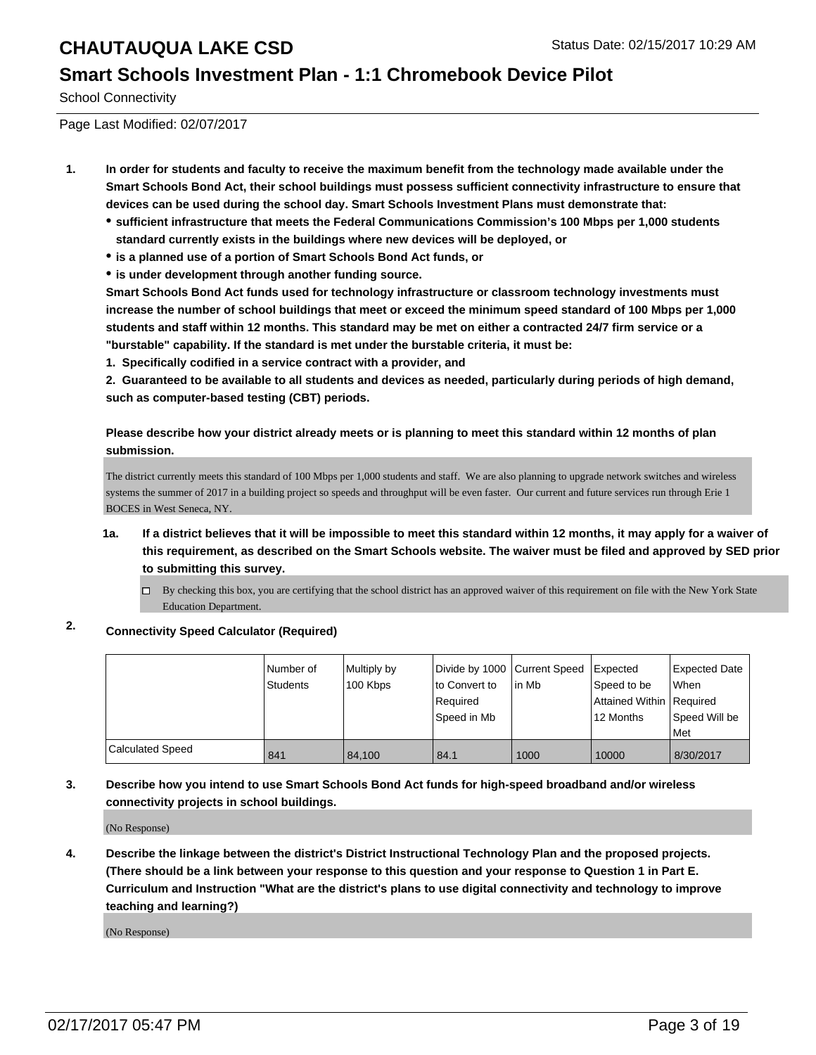#### **Smart Schools Investment Plan - 1:1 Chromebook Device Pilot**

School Connectivity

Page Last Modified: 02/07/2017

- **1. In order for students and faculty to receive the maximum benefit from the technology made available under the Smart Schools Bond Act, their school buildings must possess sufficient connectivity infrastructure to ensure that devices can be used during the school day. Smart Schools Investment Plans must demonstrate that:**
	- **sufficient infrastructure that meets the Federal Communications Commission's 100 Mbps per 1,000 students standard currently exists in the buildings where new devices will be deployed, or**
	- **is a planned use of a portion of Smart Schools Bond Act funds, or**
	- **is under development through another funding source.**

**Smart Schools Bond Act funds used for technology infrastructure or classroom technology investments must increase the number of school buildings that meet or exceed the minimum speed standard of 100 Mbps per 1,000 students and staff within 12 months. This standard may be met on either a contracted 24/7 firm service or a "burstable" capability. If the standard is met under the burstable criteria, it must be:**

**1. Specifically codified in a service contract with a provider, and**

**2. Guaranteed to be available to all students and devices as needed, particularly during periods of high demand, such as computer-based testing (CBT) periods.**

**Please describe how your district already meets or is planning to meet this standard within 12 months of plan submission.**

The district currently meets this standard of 100 Mbps per 1,000 students and staff. We are also planning to upgrade network switches and wireless systems the summer of 2017 in a building project so speeds and throughput will be even faster. Our current and future services run through Erie 1 BOCES in West Seneca, NY.

- **1a. If a district believes that it will be impossible to meet this standard within 12 months, it may apply for a waiver of this requirement, as described on the Smart Schools website. The waiver must be filed and approved by SED prior to submitting this survey.**
	- □ By checking this box, you are certifying that the school district has an approved waiver of this requirement on file with the New York State Education Department.
- **2. Connectivity Speed Calculator (Required)**

|                         | Number of<br>Students | Multiply by<br>100 Kbps | lto Convert to<br>Required<br>Speed in Mb | Divide by 1000 Current Speed Expected<br>lin Mb | Speed to be<br>Attained Within   Required<br>12 Months | Expected Date<br><b>When</b><br>Speed Will be<br>Met |
|-------------------------|-----------------------|-------------------------|-------------------------------------------|-------------------------------------------------|--------------------------------------------------------|------------------------------------------------------|
| <b>Calculated Speed</b> | 841                   | 84.100                  | 84.1                                      | 1000                                            | 10000                                                  | 8/30/2017                                            |

#### **3. Describe how you intend to use Smart Schools Bond Act funds for high-speed broadband and/or wireless connectivity projects in school buildings.**

(No Response)

**4. Describe the linkage between the district's District Instructional Technology Plan and the proposed projects. (There should be a link between your response to this question and your response to Question 1 in Part E. Curriculum and Instruction "What are the district's plans to use digital connectivity and technology to improve teaching and learning?)**

(No Response)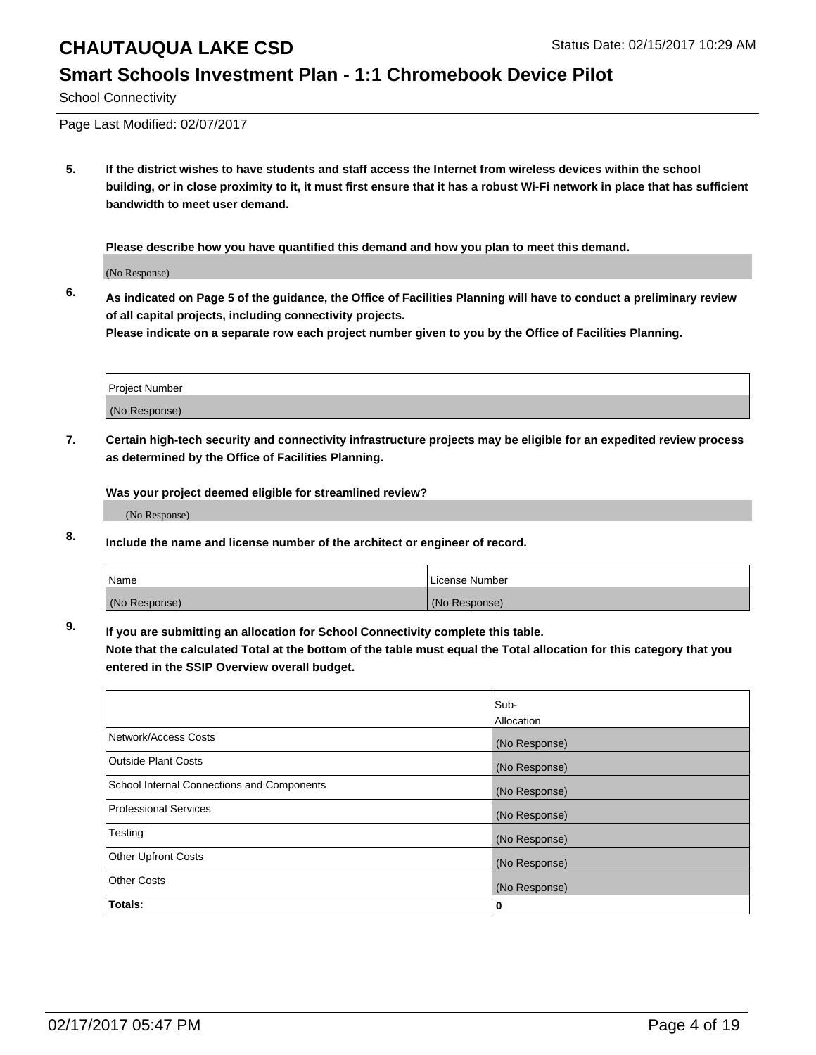## **Smart Schools Investment Plan - 1:1 Chromebook Device Pilot**

School Connectivity

Page Last Modified: 02/07/2017

**5. If the district wishes to have students and staff access the Internet from wireless devices within the school building, or in close proximity to it, it must first ensure that it has a robust Wi-Fi network in place that has sufficient bandwidth to meet user demand.**

**Please describe how you have quantified this demand and how you plan to meet this demand.**

(No Response)

**6. As indicated on Page 5 of the guidance, the Office of Facilities Planning will have to conduct a preliminary review of all capital projects, including connectivity projects.**

**Please indicate on a separate row each project number given to you by the Office of Facilities Planning.**

| Project Number |  |
|----------------|--|
|                |  |
| (No Response)  |  |

**7. Certain high-tech security and connectivity infrastructure projects may be eligible for an expedited review process as determined by the Office of Facilities Planning.**

**Was your project deemed eligible for streamlined review?**

(No Response)

**8. Include the name and license number of the architect or engineer of record.**

| <b>Name</b>   | License Number |
|---------------|----------------|
| (No Response) | (No Response)  |

**9. If you are submitting an allocation for School Connectivity complete this table.**

**Note that the calculated Total at the bottom of the table must equal the Total allocation for this category that you entered in the SSIP Overview overall budget.** 

|                                            | Sub-              |
|--------------------------------------------|-------------------|
|                                            | <b>Allocation</b> |
| Network/Access Costs                       | (No Response)     |
| <b>Outside Plant Costs</b>                 | (No Response)     |
| School Internal Connections and Components | (No Response)     |
| <b>Professional Services</b>               | (No Response)     |
| Testing                                    | (No Response)     |
| <b>Other Upfront Costs</b>                 | (No Response)     |
| <b>Other Costs</b>                         | (No Response)     |
| Totals:                                    | 0                 |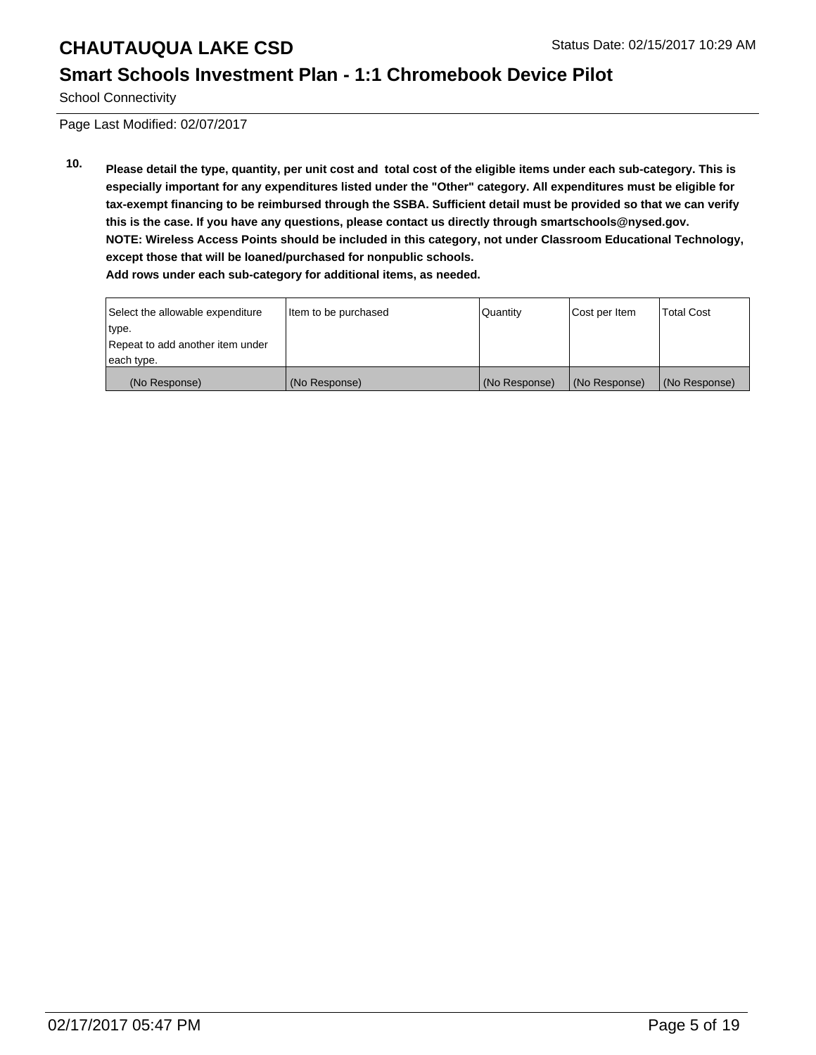## **Smart Schools Investment Plan - 1:1 Chromebook Device Pilot**

School Connectivity

Page Last Modified: 02/07/2017

**10. Please detail the type, quantity, per unit cost and total cost of the eligible items under each sub-category. This is especially important for any expenditures listed under the "Other" category. All expenditures must be eligible for tax-exempt financing to be reimbursed through the SSBA. Sufficient detail must be provided so that we can verify this is the case. If you have any questions, please contact us directly through smartschools@nysed.gov. NOTE: Wireless Access Points should be included in this category, not under Classroom Educational Technology, except those that will be loaned/purchased for nonpublic schools. Add rows under each sub-category for additional items, as needed.**

| Select the allowable expenditure | Item to be purchased | <b>Quantity</b> | Cost per Item | <b>Total Cost</b> |
|----------------------------------|----------------------|-----------------|---------------|-------------------|
| type.                            |                      |                 |               |                   |
| Repeat to add another item under |                      |                 |               |                   |
| each type.                       |                      |                 |               |                   |
| (No Response)                    | (No Response)        | (No Response)   | (No Response) | (No Response)     |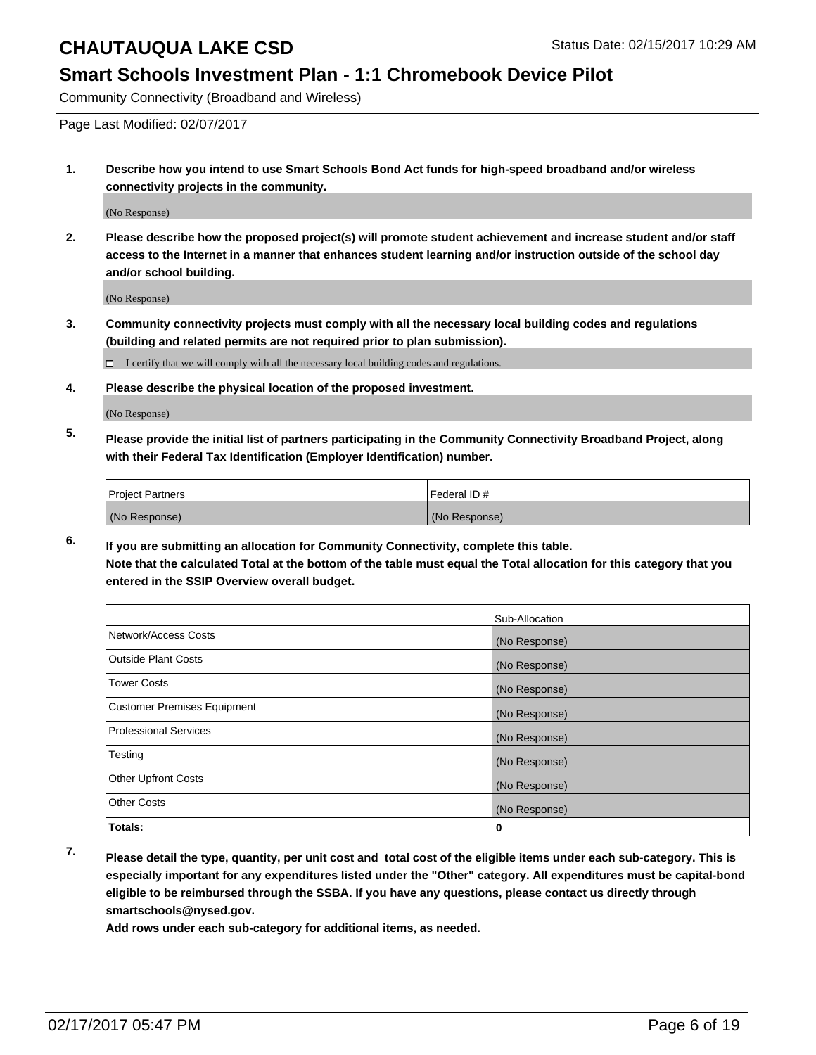#### **Smart Schools Investment Plan - 1:1 Chromebook Device Pilot**

Community Connectivity (Broadband and Wireless)

Page Last Modified: 02/07/2017

**1. Describe how you intend to use Smart Schools Bond Act funds for high-speed broadband and/or wireless connectivity projects in the community.**

(No Response)

**2. Please describe how the proposed project(s) will promote student achievement and increase student and/or staff access to the Internet in a manner that enhances student learning and/or instruction outside of the school day and/or school building.**

(No Response)

**3. Community connectivity projects must comply with all the necessary local building codes and regulations (building and related permits are not required prior to plan submission).**

 $\Box$  I certify that we will comply with all the necessary local building codes and regulations.

**4. Please describe the physical location of the proposed investment.**

(No Response)

**5. Please provide the initial list of partners participating in the Community Connectivity Broadband Project, along with their Federal Tax Identification (Employer Identification) number.**

| <b>Project Partners</b> | <b>IFederal ID#</b> |
|-------------------------|---------------------|
| (No Response)           | (No Response)       |

**6. If you are submitting an allocation for Community Connectivity, complete this table. Note that the calculated Total at the bottom of the table must equal the Total allocation for this category that you entered in the SSIP Overview overall budget.**

|                                    | Sub-Allocation |
|------------------------------------|----------------|
| Network/Access Costs               | (No Response)  |
| <b>Outside Plant Costs</b>         | (No Response)  |
| <b>Tower Costs</b>                 | (No Response)  |
| <b>Customer Premises Equipment</b> | (No Response)  |
| <b>Professional Services</b>       | (No Response)  |
| Testing                            | (No Response)  |
| <b>Other Upfront Costs</b>         | (No Response)  |
| <b>Other Costs</b>                 | (No Response)  |
| Totals:                            | 0              |

**7. Please detail the type, quantity, per unit cost and total cost of the eligible items under each sub-category. This is especially important for any expenditures listed under the "Other" category. All expenditures must be capital-bond eligible to be reimbursed through the SSBA. If you have any questions, please contact us directly through smartschools@nysed.gov.**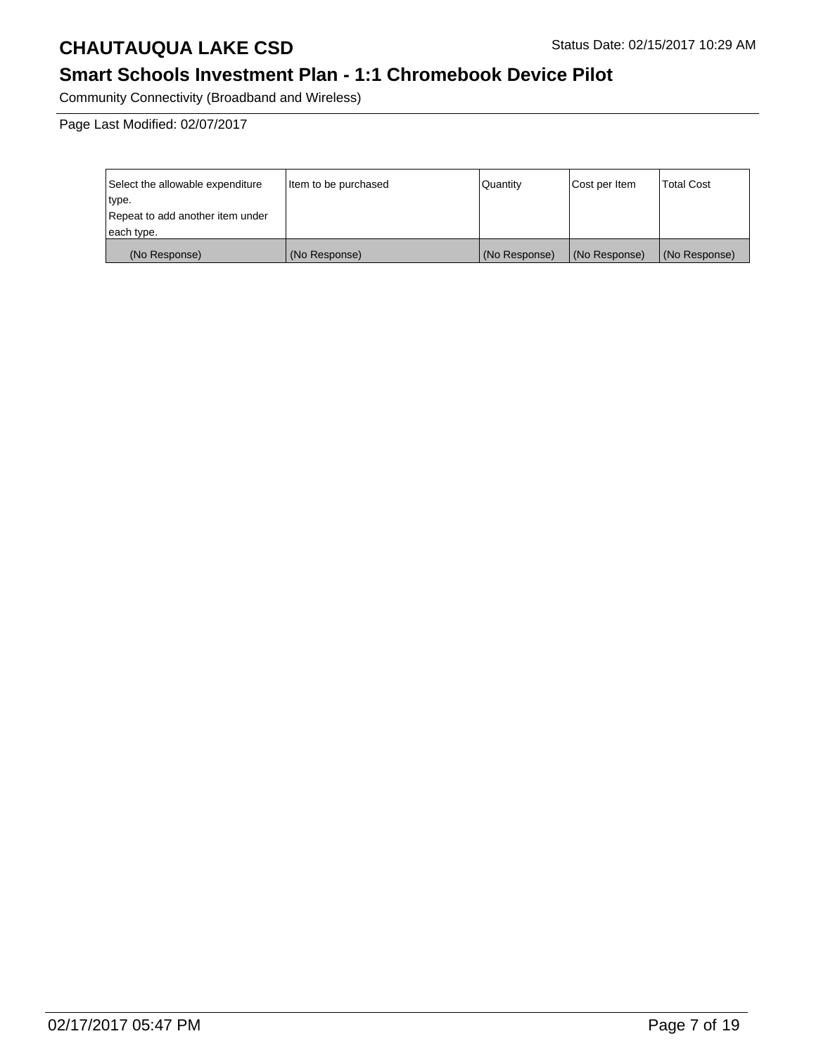## **Smart Schools Investment Plan - 1:1 Chromebook Device Pilot**

Community Connectivity (Broadband and Wireless)

Page Last Modified: 02/07/2017

| Select the allowable expenditure | Item to be purchased | Quantity      | Cost per Item | Total Cost    |
|----------------------------------|----------------------|---------------|---------------|---------------|
| type.                            |                      |               |               |               |
| Repeat to add another item under |                      |               |               |               |
| each type.                       |                      |               |               |               |
| (No Response)                    | (No Response)        | (No Response) | (No Response) | (No Response) |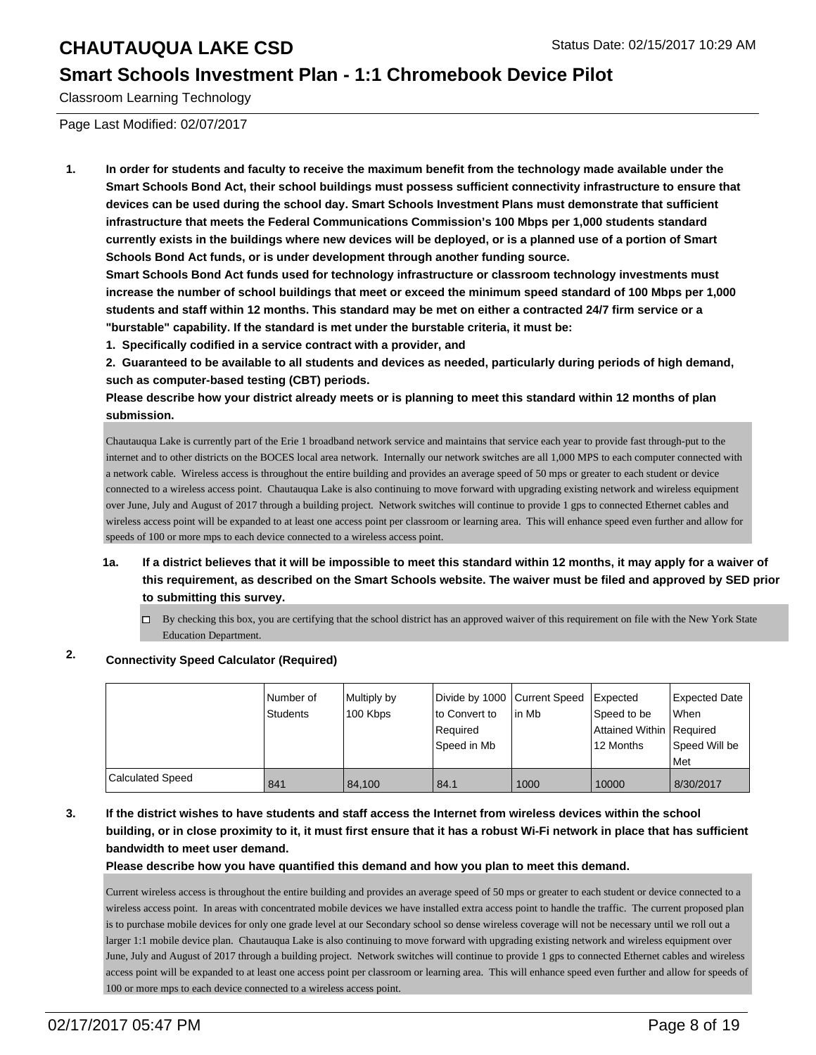#### **Smart Schools Investment Plan - 1:1 Chromebook Device Pilot**

Classroom Learning Technology

Page Last Modified: 02/07/2017

**1. In order for students and faculty to receive the maximum benefit from the technology made available under the Smart Schools Bond Act, their school buildings must possess sufficient connectivity infrastructure to ensure that devices can be used during the school day. Smart Schools Investment Plans must demonstrate that sufficient infrastructure that meets the Federal Communications Commission's 100 Mbps per 1,000 students standard currently exists in the buildings where new devices will be deployed, or is a planned use of a portion of Smart Schools Bond Act funds, or is under development through another funding source.**

**Smart Schools Bond Act funds used for technology infrastructure or classroom technology investments must increase the number of school buildings that meet or exceed the minimum speed standard of 100 Mbps per 1,000 students and staff within 12 months. This standard may be met on either a contracted 24/7 firm service or a "burstable" capability. If the standard is met under the burstable criteria, it must be:**

**1. Specifically codified in a service contract with a provider, and**

**2. Guaranteed to be available to all students and devices as needed, particularly during periods of high demand, such as computer-based testing (CBT) periods.**

**Please describe how your district already meets or is planning to meet this standard within 12 months of plan submission.**

Chautauqua Lake is currently part of the Erie 1 broadband network service and maintains that service each year to provide fast through-put to the internet and to other districts on the BOCES local area network. Internally our network switches are all 1,000 MPS to each computer connected with a network cable. Wireless access is throughout the entire building and provides an average speed of 50 mps or greater to each student or device connected to a wireless access point. Chautauqua Lake is also continuing to move forward with upgrading existing network and wireless equipment over June, July and August of 2017 through a building project. Network switches will continue to provide 1 gps to connected Ethernet cables and wireless access point will be expanded to at least one access point per classroom or learning area. This will enhance speed even further and allow for speeds of 100 or more mps to each device connected to a wireless access point.

- **1a. If a district believes that it will be impossible to meet this standard within 12 months, it may apply for a waiver of this requirement, as described on the Smart Schools website. The waiver must be filed and approved by SED prior to submitting this survey.**
	- $\Box$  By checking this box, you are certifying that the school district has an approved waiver of this requirement on file with the New York State Education Department.

### **2. Connectivity Speed Calculator (Required)**

|                  | l Number of<br>Students | Multiply by<br>100 Kbps | Divide by 1000 Current Speed<br>lto Convert to<br>Required<br>Speed in Mb | lin Mb | Expected<br>Speed to be<br>Attained Within Required<br>12 Months | <b>Expected Date</b><br><b>When</b><br>Speed Will be<br><b>Met</b> |
|------------------|-------------------------|-------------------------|---------------------------------------------------------------------------|--------|------------------------------------------------------------------|--------------------------------------------------------------------|
| Calculated Speed | 841                     | 84.100                  | 84.1                                                                      | 1000   | 10000                                                            | 8/30/2017                                                          |

**3. If the district wishes to have students and staff access the Internet from wireless devices within the school building, or in close proximity to it, it must first ensure that it has a robust Wi-Fi network in place that has sufficient bandwidth to meet user demand.**

**Please describe how you have quantified this demand and how you plan to meet this demand.**

Current wireless access is throughout the entire building and provides an average speed of 50 mps or greater to each student or device connected to a wireless access point. In areas with concentrated mobile devices we have installed extra access point to handle the traffic. The current proposed plan is to purchase mobile devices for only one grade level at our Secondary school so dense wireless coverage will not be necessary until we roll out a larger 1:1 mobile device plan. Chautauqua Lake is also continuing to move forward with upgrading existing network and wireless equipment over June, July and August of 2017 through a building project. Network switches will continue to provide 1 gps to connected Ethernet cables and wireless access point will be expanded to at least one access point per classroom or learning area. This will enhance speed even further and allow for speeds of 100 or more mps to each device connected to a wireless access point.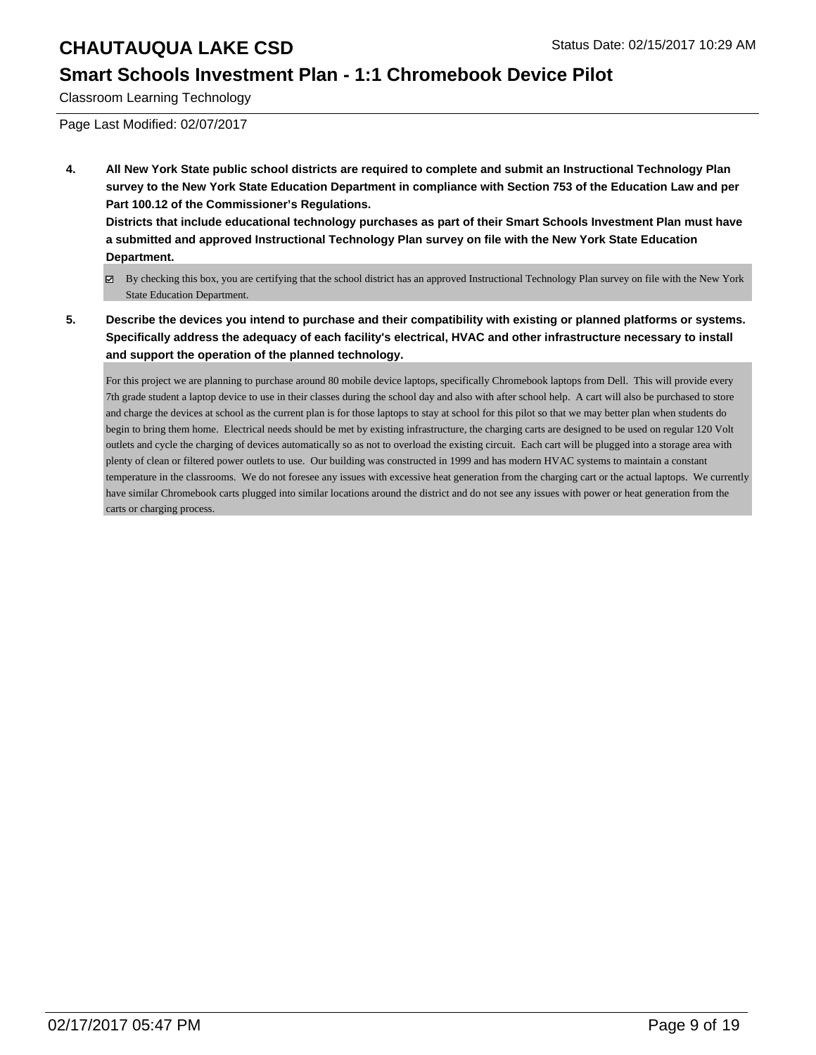### **Smart Schools Investment Plan - 1:1 Chromebook Device Pilot**

Classroom Learning Technology

Page Last Modified: 02/07/2017

**4. All New York State public school districts are required to complete and submit an Instructional Technology Plan survey to the New York State Education Department in compliance with Section 753 of the Education Law and per Part 100.12 of the Commissioner's Regulations.**

**Districts that include educational technology purchases as part of their Smart Schools Investment Plan must have a submitted and approved Instructional Technology Plan survey on file with the New York State Education Department.**

- By checking this box, you are certifying that the school district has an approved Instructional Technology Plan survey on file with the New York State Education Department.
- **5. Describe the devices you intend to purchase and their compatibility with existing or planned platforms or systems. Specifically address the adequacy of each facility's electrical, HVAC and other infrastructure necessary to install and support the operation of the planned technology.**

For this project we are planning to purchase around 80 mobile device laptops, specifically Chromebook laptops from Dell. This will provide every 7th grade student a laptop device to use in their classes during the school day and also with after school help. A cart will also be purchased to store and charge the devices at school as the current plan is for those laptops to stay at school for this pilot so that we may better plan when students do begin to bring them home. Electrical needs should be met by existing infrastructure, the charging carts are designed to be used on regular 120 Volt outlets and cycle the charging of devices automatically so as not to overload the existing circuit. Each cart will be plugged into a storage area with plenty of clean or filtered power outlets to use. Our building was constructed in 1999 and has modern HVAC systems to maintain a constant temperature in the classrooms. We do not foresee any issues with excessive heat generation from the charging cart or the actual laptops. We currently have similar Chromebook carts plugged into similar locations around the district and do not see any issues with power or heat generation from the carts or charging process.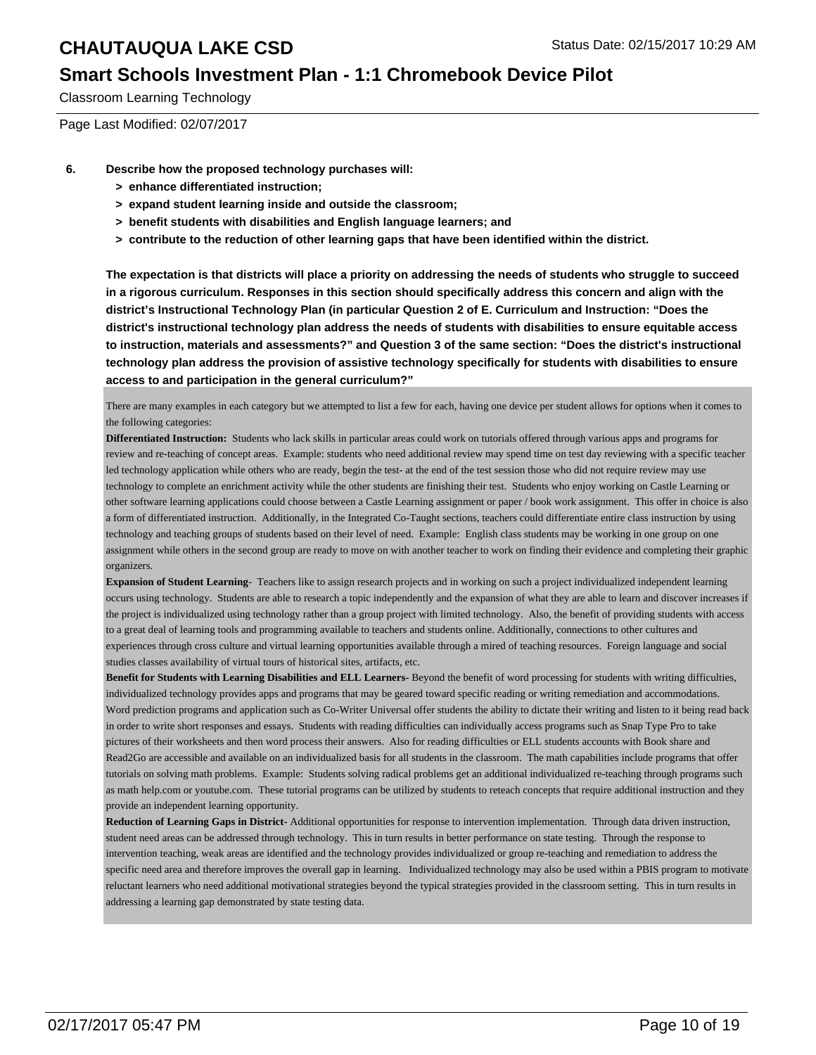#### **Smart Schools Investment Plan - 1:1 Chromebook Device Pilot**

Classroom Learning Technology

Page Last Modified: 02/07/2017

- **6. Describe how the proposed technology purchases will:**
	- **> enhance differentiated instruction;**
	- **> expand student learning inside and outside the classroom;**
	- **> benefit students with disabilities and English language learners; and**
	- **> contribute to the reduction of other learning gaps that have been identified within the district.**

**The expectation is that districts will place a priority on addressing the needs of students who struggle to succeed in a rigorous curriculum. Responses in this section should specifically address this concern and align with the district's Instructional Technology Plan (in particular Question 2 of E. Curriculum and Instruction: "Does the district's instructional technology plan address the needs of students with disabilities to ensure equitable access to instruction, materials and assessments?" and Question 3 of the same section: "Does the district's instructional technology plan address the provision of assistive technology specifically for students with disabilities to ensure access to and participation in the general curriculum?"**

There are many examples in each category but we attempted to list a few for each, having one device per student allows for options when it comes to the following categories:

**Differentiated Instruction:** Students who lack skills in particular areas could work on tutorials offered through various apps and programs for review and re-teaching of concept areas. Example: students who need additional review may spend time on test day reviewing with a specific teacher led technology application while others who are ready, begin the test- at the end of the test session those who did not require review may use technology to complete an enrichment activity while the other students are finishing their test. Students who enjoy working on Castle Learning or other software learning applications could choose between a Castle Learning assignment or paper / book work assignment. This offer in choice is also a form of differentiated instruction. Additionally, in the Integrated Co-Taught sections, teachers could differentiate entire class instruction by using technology and teaching groups of students based on their level of need. Example: English class students may be working in one group on one assignment while others in the second group are ready to move on with another teacher to work on finding their evidence and completing their graphic organizers.

**Expansion of Student Learning**- Teachers like to assign research projects and in working on such a project individualized independent learning occurs using technology. Students are able to research a topic independently and the expansion of what they are able to learn and discover increases if the project is individualized using technology rather than a group project with limited technology. Also, the benefit of providing students with access to a great deal of learning tools and programming available to teachers and students online. Additionally, connections to other cultures and experiences through cross culture and virtual learning opportunities available through a mired of teaching resources. Foreign language and social studies classes availability of virtual tours of historical sites, artifacts, etc.

**Benefit for Students with Learning Disabilities and ELL Learners-** Beyond the benefit of word processing for students with writing difficulties, individualized technology provides apps and programs that may be geared toward specific reading or writing remediation and accommodations. Word prediction programs and application such as Co-Writer Universal offer students the ability to dictate their writing and listen to it being read back in order to write short responses and essays. Students with reading difficulties can individually access programs such as Snap Type Pro to take pictures of their worksheets and then word process their answers. Also for reading difficulties or ELL students accounts with Book share and Read2Go are accessible and available on an individualized basis for all students in the classroom. The math capabilities include programs that offer tutorials on solving math problems. Example: Students solving radical problems get an additional individualized re-teaching through programs such as math help.com or youtube.com. These tutorial programs can be utilized by students to reteach concepts that require additional instruction and they provide an independent learning opportunity.

**Reduction of Learning Gaps in District-** Additional opportunities for response to intervention implementation. Through data driven instruction, student need areas can be addressed through technology. This in turn results in better performance on state testing. Through the response to intervention teaching, weak areas are identified and the technology provides individualized or group re-teaching and remediation to address the specific need area and therefore improves the overall gap in learning. Individualized technology may also be used within a PBIS program to motivate reluctant learners who need additional motivational strategies beyond the typical strategies provided in the classroom setting. This in turn results in addressing a learning gap demonstrated by state testing data.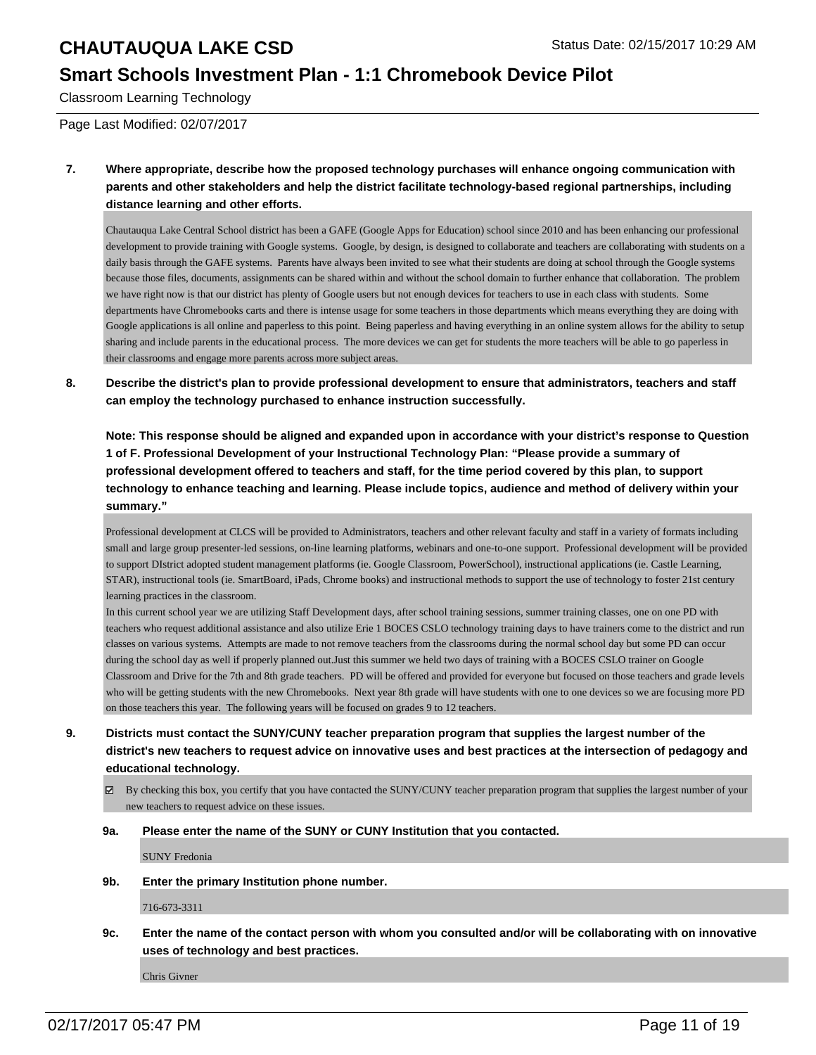#### **Smart Schools Investment Plan - 1:1 Chromebook Device Pilot**

Classroom Learning Technology

Page Last Modified: 02/07/2017

**7. Where appropriate, describe how the proposed technology purchases will enhance ongoing communication with parents and other stakeholders and help the district facilitate technology-based regional partnerships, including distance learning and other efforts.**

Chautauqua Lake Central School district has been a GAFE (Google Apps for Education) school since 2010 and has been enhancing our professional development to provide training with Google systems. Google, by design, is designed to collaborate and teachers are collaborating with students on a daily basis through the GAFE systems. Parents have always been invited to see what their students are doing at school through the Google systems because those files, documents, assignments can be shared within and without the school domain to further enhance that collaboration. The problem we have right now is that our district has plenty of Google users but not enough devices for teachers to use in each class with students. Some departments have Chromebooks carts and there is intense usage for some teachers in those departments which means everything they are doing with Google applications is all online and paperless to this point. Being paperless and having everything in an online system allows for the ability to setup sharing and include parents in the educational process. The more devices we can get for students the more teachers will be able to go paperless in their classrooms and engage more parents across more subject areas.

**8. Describe the district's plan to provide professional development to ensure that administrators, teachers and staff can employ the technology purchased to enhance instruction successfully.**

**Note: This response should be aligned and expanded upon in accordance with your district's response to Question 1 of F. Professional Development of your Instructional Technology Plan: "Please provide a summary of professional development offered to teachers and staff, for the time period covered by this plan, to support technology to enhance teaching and learning. Please include topics, audience and method of delivery within your summary."**

Professional development at CLCS will be provided to Administrators, teachers and other relevant faculty and staff in a variety of formats including small and large group presenter-led sessions, on-line learning platforms, webinars and one-to-one support. Professional development will be provided to support DIstrict adopted student management platforms (ie. Google Classroom, PowerSchool), instructional applications (ie. Castle Learning, STAR), instructional tools (ie. SmartBoard, iPads, Chrome books) and instructional methods to support the use of technology to foster 21st century learning practices in the classroom.

In this current school year we are utilizing Staff Development days, after school training sessions, summer training classes, one on one PD with teachers who request additional assistance and also utilize Erie 1 BOCES CSLO technology training days to have trainers come to the district and run classes on various systems. Attempts are made to not remove teachers from the classrooms during the normal school day but some PD can occur during the school day as well if properly planned out.Just this summer we held two days of training with a BOCES CSLO trainer on Google Classroom and Drive for the 7th and 8th grade teachers. PD will be offered and provided for everyone but focused on those teachers and grade levels who will be getting students with the new Chromebooks. Next year 8th grade will have students with one to one devices so we are focusing more PD on those teachers this year. The following years will be focused on grades 9 to 12 teachers.

- **9. Districts must contact the SUNY/CUNY teacher preparation program that supplies the largest number of the district's new teachers to request advice on innovative uses and best practices at the intersection of pedagogy and educational technology.**
	- $\boxtimes$  By checking this box, you certify that you have contacted the SUNY/CUNY teacher preparation program that supplies the largest number of your new teachers to request advice on these issues.

#### **9a. Please enter the name of the SUNY or CUNY Institution that you contacted.**

SUNY Fredonia

**9b. Enter the primary Institution phone number.**

716-673-3311

**9c. Enter the name of the contact person with whom you consulted and/or will be collaborating with on innovative uses of technology and best practices.**

Chris Givner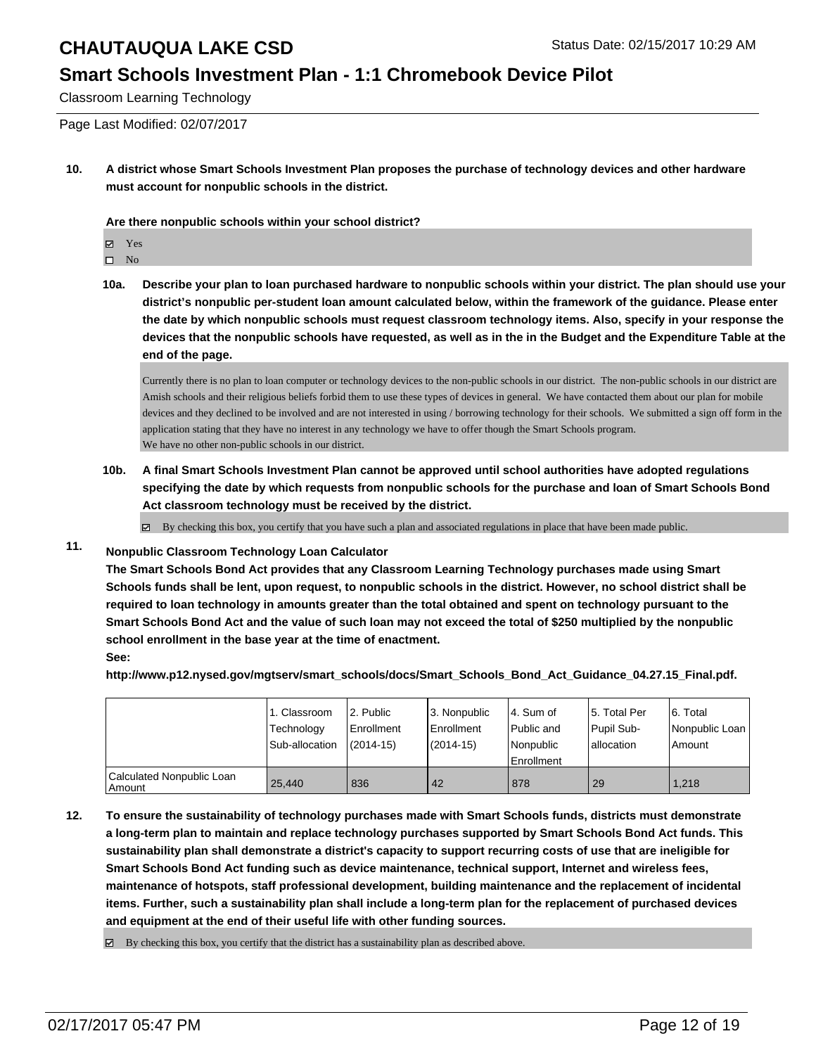### **Smart Schools Investment Plan - 1:1 Chromebook Device Pilot**

Classroom Learning Technology

Page Last Modified: 02/07/2017

**10. A district whose Smart Schools Investment Plan proposes the purchase of technology devices and other hardware must account for nonpublic schools in the district.**

**Are there nonpublic schools within your school district?**

Yes

 $\hfill \square$  No

**10a. Describe your plan to loan purchased hardware to nonpublic schools within your district. The plan should use your district's nonpublic per-student loan amount calculated below, within the framework of the guidance. Please enter the date by which nonpublic schools must request classroom technology items. Also, specify in your response the devices that the nonpublic schools have requested, as well as in the in the Budget and the Expenditure Table at the end of the page.**

Currently there is no plan to loan computer or technology devices to the non-public schools in our district. The non-public schools in our district are Amish schools and their religious beliefs forbid them to use these types of devices in general. We have contacted them about our plan for mobile devices and they declined to be involved and are not interested in using / borrowing technology for their schools. We submitted a sign off form in the application stating that they have no interest in any technology we have to offer though the Smart Schools program. We have no other non-public schools in our district.

**10b. A final Smart Schools Investment Plan cannot be approved until school authorities have adopted regulations specifying the date by which requests from nonpublic schools for the purchase and loan of Smart Schools Bond Act classroom technology must be received by the district.**

 $\boxtimes$  By checking this box, you certify that you have such a plan and associated regulations in place that have been made public.

#### **11. Nonpublic Classroom Technology Loan Calculator**

**The Smart Schools Bond Act provides that any Classroom Learning Technology purchases made using Smart Schools funds shall be lent, upon request, to nonpublic schools in the district. However, no school district shall be required to loan technology in amounts greater than the total obtained and spent on technology pursuant to the Smart Schools Bond Act and the value of such loan may not exceed the total of \$250 multiplied by the nonpublic school enrollment in the base year at the time of enactment. See:**

**http://www.p12.nysed.gov/mgtserv/smart\_schools/docs/Smart\_Schools\_Bond\_Act\_Guidance\_04.27.15\_Final.pdf.**

|                                     | 1. Classroom<br>Technology<br>Sub-allocation | 2. Public<br>Enrollment<br>$(2014 - 15)$ | l 3. Nonpublic<br>l Enrollment<br>$(2014 - 15)$ | l 4. Sum of<br>Public and<br>l Nonpublic<br><b>Enrollment</b> | 15. Total Per<br>Pupil Sub-<br>lallocation | 6. Total<br>Nonpublic Loan  <br>Amount |
|-------------------------------------|----------------------------------------------|------------------------------------------|-------------------------------------------------|---------------------------------------------------------------|--------------------------------------------|----------------------------------------|
| Calculated Nonpublic Loan<br>Amount | 25.440                                       | 836                                      | 42                                              | 878                                                           | 29                                         | 1.218                                  |

**12. To ensure the sustainability of technology purchases made with Smart Schools funds, districts must demonstrate a long-term plan to maintain and replace technology purchases supported by Smart Schools Bond Act funds. This sustainability plan shall demonstrate a district's capacity to support recurring costs of use that are ineligible for Smart Schools Bond Act funding such as device maintenance, technical support, Internet and wireless fees, maintenance of hotspots, staff professional development, building maintenance and the replacement of incidental items. Further, such a sustainability plan shall include a long-term plan for the replacement of purchased devices and equipment at the end of their useful life with other funding sources.**

 $\boxtimes$  By checking this box, you certify that the district has a sustainability plan as described above.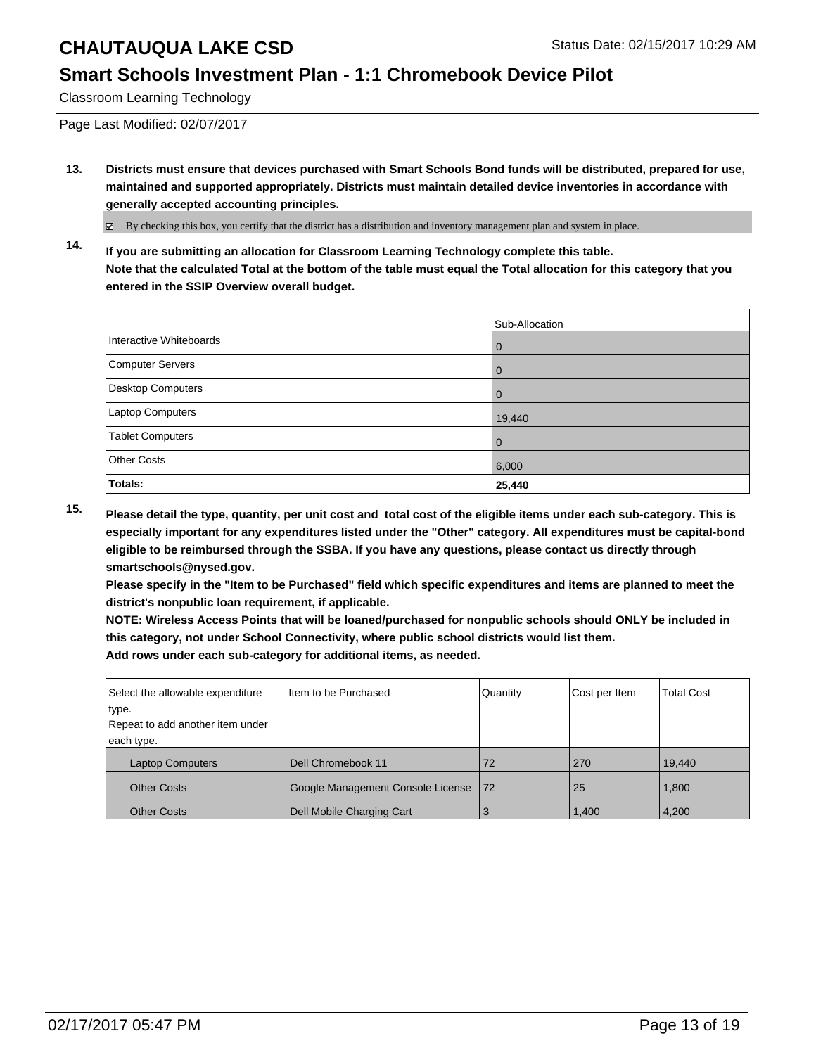### **Smart Schools Investment Plan - 1:1 Chromebook Device Pilot**

Classroom Learning Technology

Page Last Modified: 02/07/2017

**13. Districts must ensure that devices purchased with Smart Schools Bond funds will be distributed, prepared for use, maintained and supported appropriately. Districts must maintain detailed device inventories in accordance with generally accepted accounting principles.**

By checking this box, you certify that the district has a distribution and inventory management plan and system in place.

**14. If you are submitting an allocation for Classroom Learning Technology complete this table. Note that the calculated Total at the bottom of the table must equal the Total allocation for this category that you entered in the SSIP Overview overall budget.**

|                         | Sub-Allocation |
|-------------------------|----------------|
| Interactive Whiteboards | 0              |
| Computer Servers        | 0              |
| Desktop Computers       | 0              |
| Laptop Computers        | 19,440         |
| <b>Tablet Computers</b> | 0              |
| <b>Other Costs</b>      | 6,000          |
| Totals:                 | 25,440         |

**15. Please detail the type, quantity, per unit cost and total cost of the eligible items under each sub-category. This is especially important for any expenditures listed under the "Other" category. All expenditures must be capital-bond eligible to be reimbursed through the SSBA. If you have any questions, please contact us directly through smartschools@nysed.gov.**

**Please specify in the "Item to be Purchased" field which specific expenditures and items are planned to meet the district's nonpublic loan requirement, if applicable.**

**NOTE: Wireless Access Points that will be loaned/purchased for nonpublic schools should ONLY be included in this category, not under School Connectivity, where public school districts would list them. Add rows under each sub-category for additional items, as needed.**

| Select the allowable expenditure | Item to be Purchased              | Quantity | Cost per Item | <b>Total Cost</b> |
|----------------------------------|-----------------------------------|----------|---------------|-------------------|
| type.                            |                                   |          |               |                   |
| Repeat to add another item under |                                   |          |               |                   |
| each type.                       |                                   |          |               |                   |
| <b>Laptop Computers</b>          | Dell Chromebook 11                | 72       | 270           | 19.440            |
| <b>Other Costs</b>               | Google Management Console License | 172      | 25            | 1,800             |
| <b>Other Costs</b>               | Dell Mobile Charging Cart         | 3        | 1,400         | 4,200             |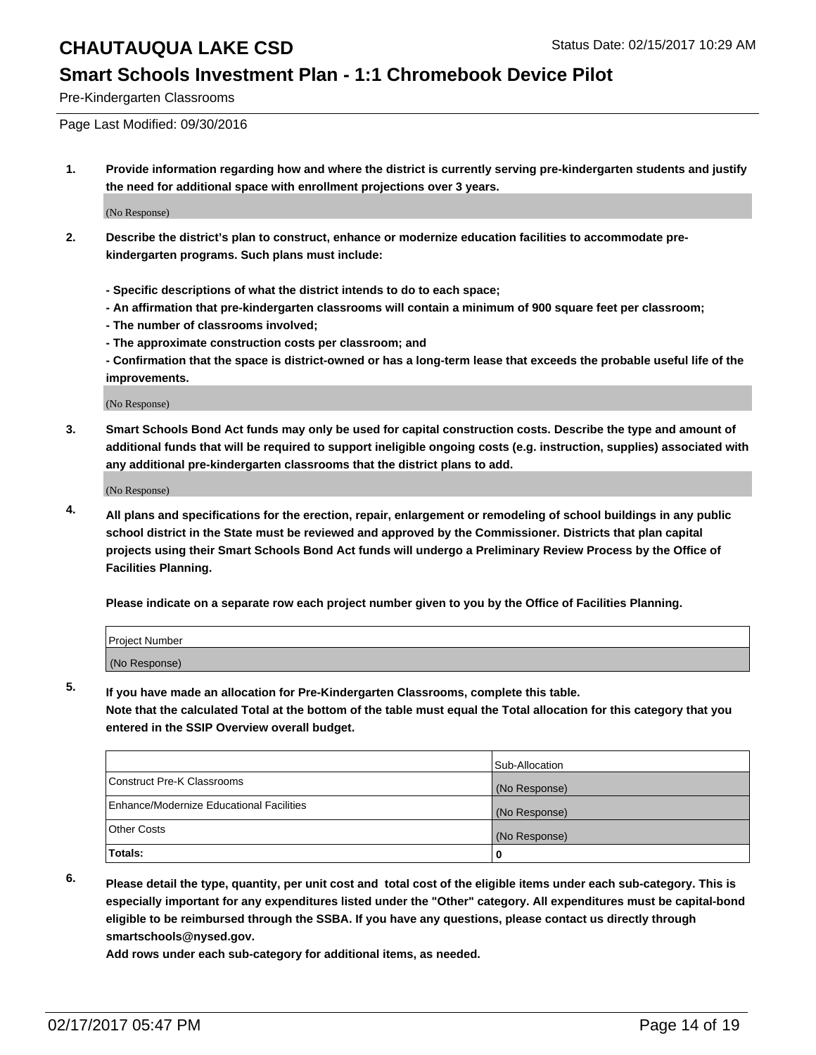#### **Smart Schools Investment Plan - 1:1 Chromebook Device Pilot**

Pre-Kindergarten Classrooms

Page Last Modified: 09/30/2016

**1. Provide information regarding how and where the district is currently serving pre-kindergarten students and justify the need for additional space with enrollment projections over 3 years.**

(No Response)

- **2. Describe the district's plan to construct, enhance or modernize education facilities to accommodate prekindergarten programs. Such plans must include:**
	- **Specific descriptions of what the district intends to do to each space;**
	- **An affirmation that pre-kindergarten classrooms will contain a minimum of 900 square feet per classroom;**
	- **The number of classrooms involved;**
	- **The approximate construction costs per classroom; and**
	- **Confirmation that the space is district-owned or has a long-term lease that exceeds the probable useful life of the improvements.**

(No Response)

**3. Smart Schools Bond Act funds may only be used for capital construction costs. Describe the type and amount of additional funds that will be required to support ineligible ongoing costs (e.g. instruction, supplies) associated with any additional pre-kindergarten classrooms that the district plans to add.**

(No Response)

**4. All plans and specifications for the erection, repair, enlargement or remodeling of school buildings in any public school district in the State must be reviewed and approved by the Commissioner. Districts that plan capital projects using their Smart Schools Bond Act funds will undergo a Preliminary Review Process by the Office of Facilities Planning.**

**Please indicate on a separate row each project number given to you by the Office of Facilities Planning.**

| Project Number |  |  |
|----------------|--|--|
| (No Response)  |  |  |

**5. If you have made an allocation for Pre-Kindergarten Classrooms, complete this table.**

**Note that the calculated Total at the bottom of the table must equal the Total allocation for this category that you entered in the SSIP Overview overall budget.**

|                                          | Sub-Allocation |
|------------------------------------------|----------------|
| Construct Pre-K Classrooms               | (No Response)  |
| Enhance/Modernize Educational Facilities | (No Response)  |
| Other Costs                              | (No Response)  |
| Totals:                                  |                |

**6. Please detail the type, quantity, per unit cost and total cost of the eligible items under each sub-category. This is especially important for any expenditures listed under the "Other" category. All expenditures must be capital-bond eligible to be reimbursed through the SSBA. If you have any questions, please contact us directly through smartschools@nysed.gov.**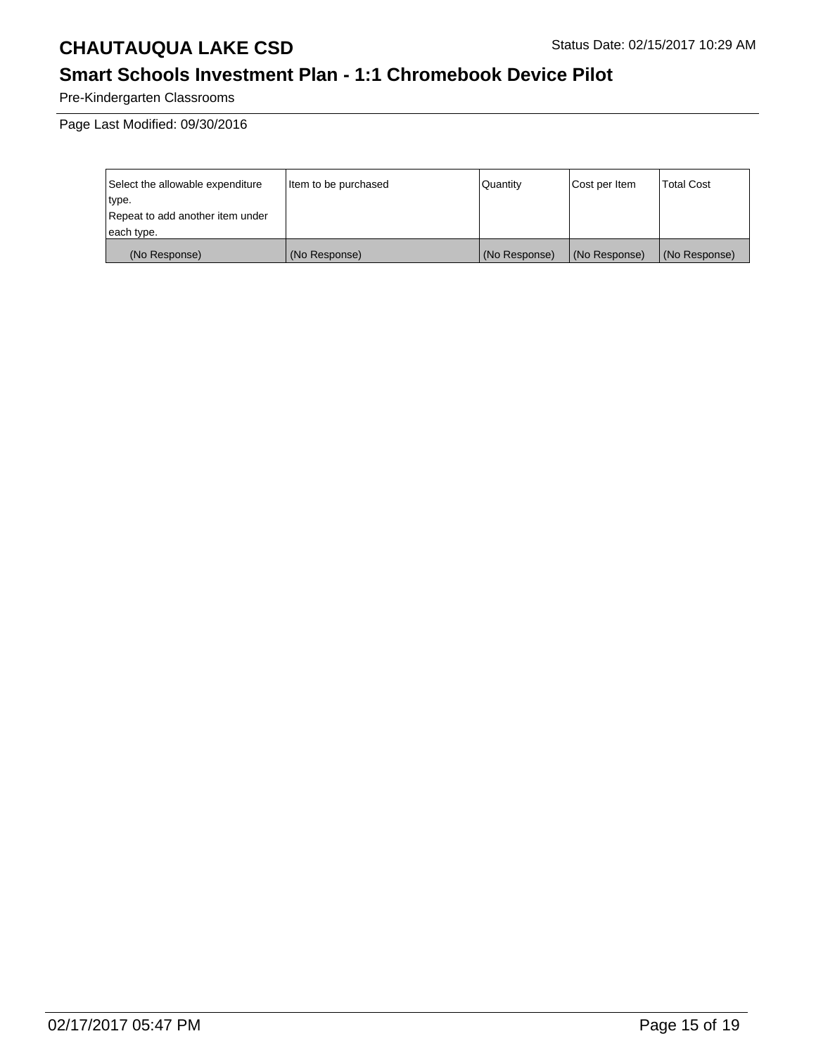## **Smart Schools Investment Plan - 1:1 Chromebook Device Pilot**

Pre-Kindergarten Classrooms

Page Last Modified: 09/30/2016

| Select the allowable expenditure | litem to be purchased | Quantity      | Cost per Item | <b>Total Cost</b> |
|----------------------------------|-----------------------|---------------|---------------|-------------------|
| type.                            |                       |               |               |                   |
| Repeat to add another item under |                       |               |               |                   |
| each type.                       |                       |               |               |                   |
| (No Response)                    | (No Response)         | (No Response) | (No Response) | (No Response)     |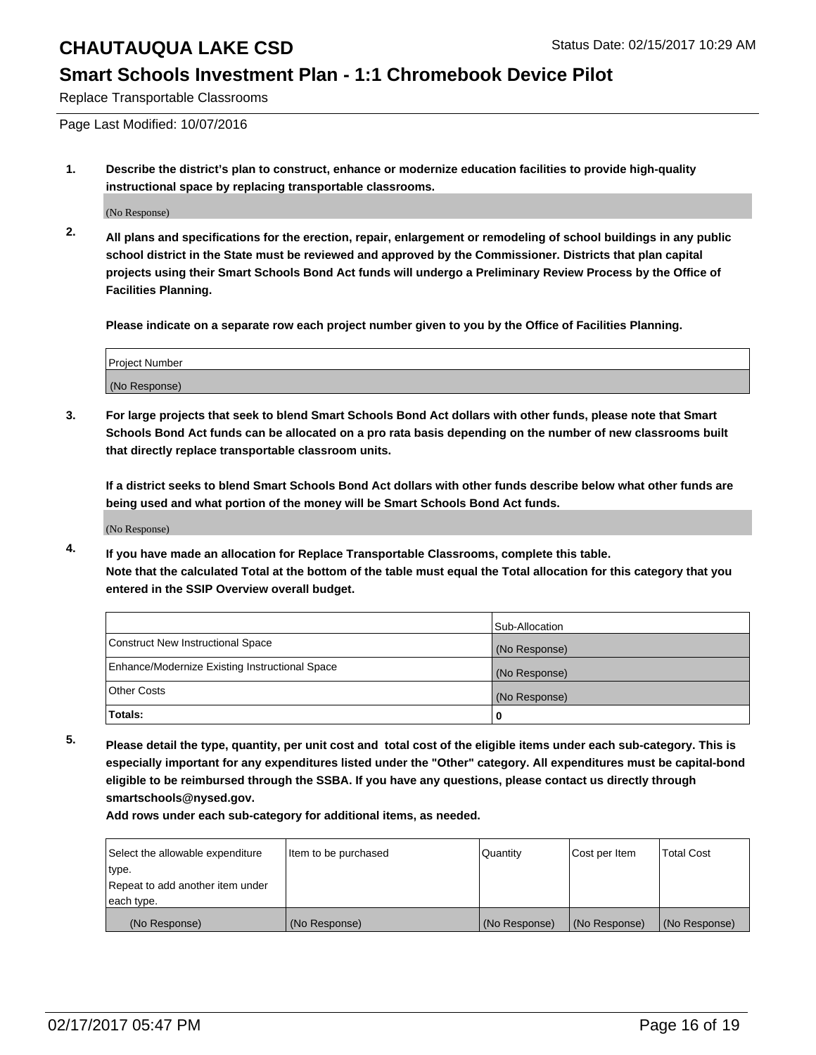#### **Smart Schools Investment Plan - 1:1 Chromebook Device Pilot**

Replace Transportable Classrooms

Page Last Modified: 10/07/2016

**1. Describe the district's plan to construct, enhance or modernize education facilities to provide high-quality instructional space by replacing transportable classrooms.**

(No Response)

**2. All plans and specifications for the erection, repair, enlargement or remodeling of school buildings in any public school district in the State must be reviewed and approved by the Commissioner. Districts that plan capital projects using their Smart Schools Bond Act funds will undergo a Preliminary Review Process by the Office of Facilities Planning.**

**Please indicate on a separate row each project number given to you by the Office of Facilities Planning.**

| <b>Project Number</b> |  |
|-----------------------|--|
| (No Response)         |  |

**3. For large projects that seek to blend Smart Schools Bond Act dollars with other funds, please note that Smart Schools Bond Act funds can be allocated on a pro rata basis depending on the number of new classrooms built that directly replace transportable classroom units.**

**If a district seeks to blend Smart Schools Bond Act dollars with other funds describe below what other funds are being used and what portion of the money will be Smart Schools Bond Act funds.**

(No Response)

**4. If you have made an allocation for Replace Transportable Classrooms, complete this table. Note that the calculated Total at the bottom of the table must equal the Total allocation for this category that you entered in the SSIP Overview overall budget.**

|                                                | Sub-Allocation |
|------------------------------------------------|----------------|
| Construct New Instructional Space              | (No Response)  |
| Enhance/Modernize Existing Instructional Space | (No Response)  |
| <b>Other Costs</b>                             | (No Response)  |
| Totals:                                        |                |

**5. Please detail the type, quantity, per unit cost and total cost of the eligible items under each sub-category. This is especially important for any expenditures listed under the "Other" category. All expenditures must be capital-bond eligible to be reimbursed through the SSBA. If you have any questions, please contact us directly through smartschools@nysed.gov.**

| Select the allowable expenditure | Item to be purchased | Quantity      | Cost per Item | <b>Total Cost</b> |
|----------------------------------|----------------------|---------------|---------------|-------------------|
| type.                            |                      |               |               |                   |
| Repeat to add another item under |                      |               |               |                   |
| each type.                       |                      |               |               |                   |
| (No Response)                    | (No Response)        | (No Response) | (No Response) | (No Response)     |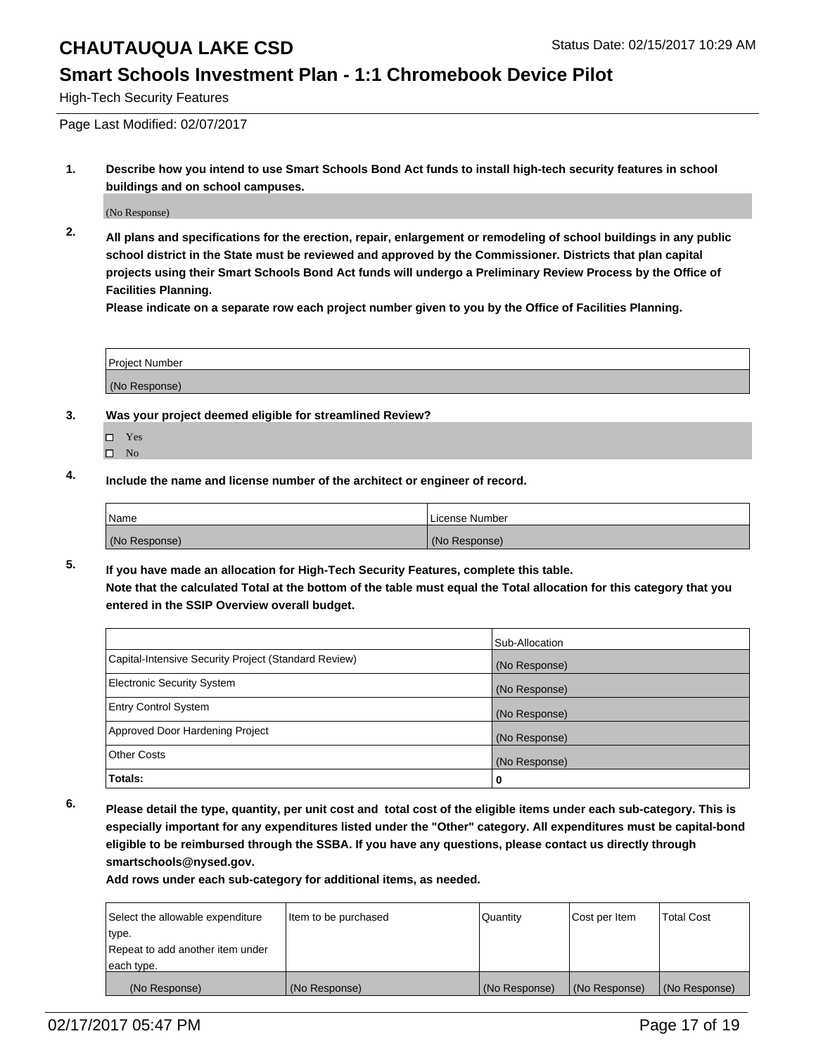#### **Smart Schools Investment Plan - 1:1 Chromebook Device Pilot**

High-Tech Security Features

Page Last Modified: 02/07/2017

**1. Describe how you intend to use Smart Schools Bond Act funds to install high-tech security features in school buildings and on school campuses.**

(No Response)

**2. All plans and specifications for the erection, repair, enlargement or remodeling of school buildings in any public school district in the State must be reviewed and approved by the Commissioner. Districts that plan capital projects using their Smart Schools Bond Act funds will undergo a Preliminary Review Process by the Office of Facilities Planning.** 

**Please indicate on a separate row each project number given to you by the Office of Facilities Planning.**

| Project Number |  |
|----------------|--|
| (No Response)  |  |

- **3. Was your project deemed eligible for streamlined Review?**
	- Yes
	- $\square$  No
- **4. Include the name and license number of the architect or engineer of record.**

| Name          | License Number |
|---------------|----------------|
| (No Response) | (No Response)  |

**5. If you have made an allocation for High-Tech Security Features, complete this table. Note that the calculated Total at the bottom of the table must equal the Total allocation for this category that you entered in the SSIP Overview overall budget.**

|                                                      | Sub-Allocation |
|------------------------------------------------------|----------------|
| Capital-Intensive Security Project (Standard Review) | (No Response)  |
| <b>Electronic Security System</b>                    | (No Response)  |
| <b>Entry Control System</b>                          | (No Response)  |
| Approved Door Hardening Project                      | (No Response)  |
| <b>Other Costs</b>                                   | (No Response)  |
| Totals:                                              | 0              |

**6. Please detail the type, quantity, per unit cost and total cost of the eligible items under each sub-category. This is especially important for any expenditures listed under the "Other" category. All expenditures must be capital-bond eligible to be reimbursed through the SSBA. If you have any questions, please contact us directly through smartschools@nysed.gov.**

| Select the allowable expenditure | Item to be purchased | Quantity      | Cost per Item | <b>Total Cost</b> |
|----------------------------------|----------------------|---------------|---------------|-------------------|
| type.                            |                      |               |               |                   |
| Repeat to add another item under |                      |               |               |                   |
| each type.                       |                      |               |               |                   |
| (No Response)                    | (No Response)        | (No Response) | (No Response) | (No Response)     |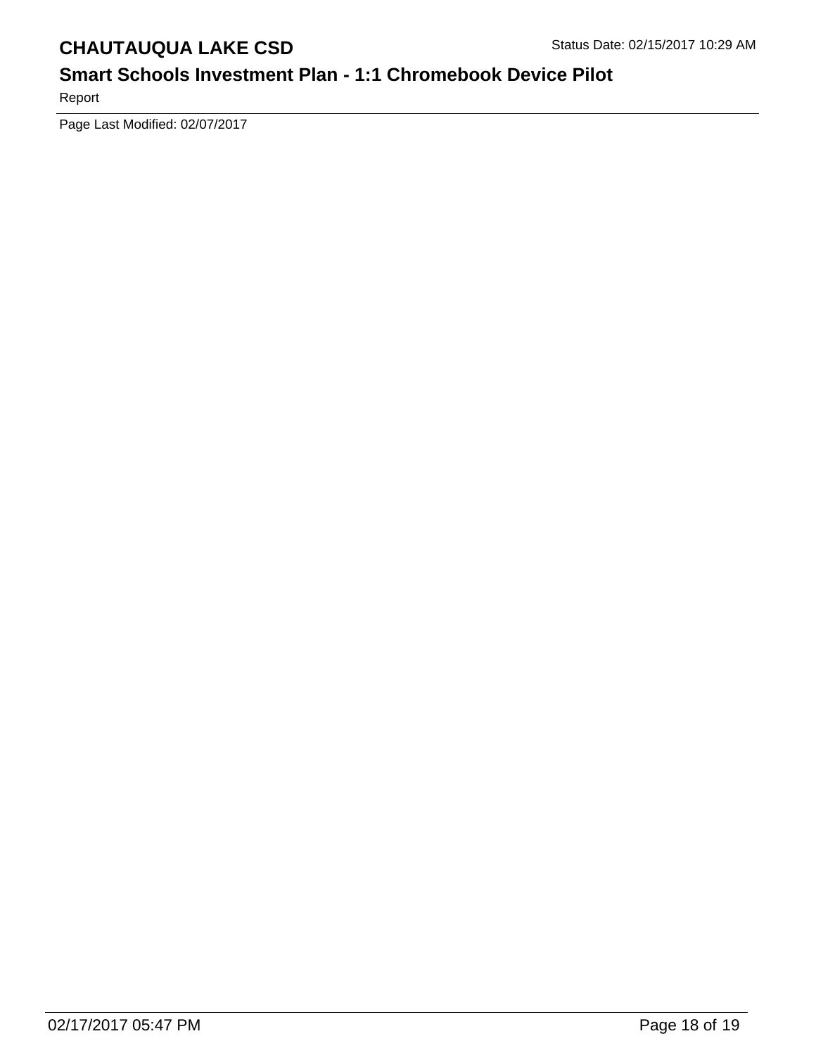## **Smart Schools Investment Plan - 1:1 Chromebook Device Pilot**

Report

Page Last Modified: 02/07/2017